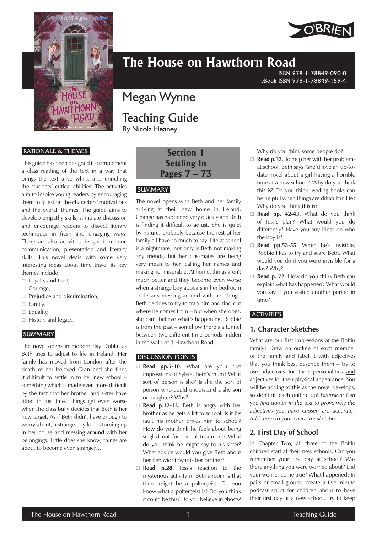



# **The House on Hawthorn Road**

ISBN 978-1-78849-090-0 eBook ISBN 978-1-78849-159-4

# Megan Wynne

# Teaching Guide

By Nicola Heaney

# RATIONALE & THEMES

This guide has been designed to complement a class reading of the text in a way that brings the text alive whilst also enriching the students' critical abilities. The activities aim to inspire young readers by encouraging them to question the characters' motivations and the overall themes. The guide aims to develop empathy skills, stimulate discussion and encourage readers to dissect literary techniques in fresh and engaging ways. There are also activities designed to hone communication, presentation and literacy skills. This novel deals with some very interesting ideas about time travel its key themes include:

- $\Box$  Loyalty and trust,
- $\Box$  Courage,
- $\Box$  Prejudice and discrimination,
- $\Box$  Family,
- $\Box$  Equality,
- $\Box$  History and legacy.

#### **SUMMARY**

The novel opens in modern day Dublin as Beth tries to adjust to life in Ireland. Her family has moved from London after the death of her beloved Gran and she finds it difficult to settle in to her new school – something which is made even more difficult by the fact that her brother and sister have fitted in just fine. Things get even worse when the class bully decides that Beth is her new target. As if Beth didn't have enough to worry about, a strange boy keeps turning up in her house and messing around with her belongings. Little does she know, things are about to become even stranger…

**Section 1 Settling In Pages 7 – 73**

### **SUMMARY**

The novel opens with Beth and her family arriving at their new home in Ireland. Change has happened very quickly and Beth is finding it difficult to adjust. She is quiet by nature, probably because the rest of her family all have so much to say. Life at school is a nightmare; not only is Beth not making any friends, but her classmates are being very mean to her, calling her names and making her miserable. At home, things aren't much better and they become even worse when a strange boy appears in her bedroom and starts messing around with her things. Beth decides to try to trap him and find out where he comes from – but when she does, she can't believe what's happening. Robbie is from the past – somehow there's a tunnel between two different time periods hidden in the walls of 3 Hawthorn Road.

### DISCUSSION POINTS

- □ **Read pp.5-10**. What are your first impressions of Sylvie, Beth's mum? What sort of person is she? Is she the sort of person who could understand a shy son or daughter? Why?
- □ **Read p.12-13.** Beth is angry with her brother as he gets a lift to school. Is it his fault his mother drives him to school? How do you think he feels about being singled out for special treatment? What do you think he might say to his sister? What advice would you give Beth about her behavior towards her brother?
- □ **Read p.28.** Jess's reaction to the mysterious activity in Beth's room is that there might be a poltergeist. Do you know what a poltergeist is? Do you think it could be this? Do you believe in ghosts?

Why do you think some people do?

- **Read p.33**. To help her with her problems at school, Beth says "she'd love an up-todate novel about a girl having a horrible time at a new school." Why do you think this is? Do you think reading books can be helpful when things are difficult in life? Why do you think this is?
- **Read pp. 42-43.** What do you think of Jess's plan? What would you do differently? Have you any ideas on who the boy is?
- □ **Read pp.53-55**. When he's invisible, Robbie likes to try and scare Beth. What would you do if you were invisible for a day? Why?
- □ **Read p. 72.** How do you think Beth can explain what has happened? What would you say if you visited another period in time?

#### ACTIVITIES

### **1. Character Sketches**

What are our first impressions of the Boffin family? Draw an outline of each member of the family and label it with adjectives that you think best describe them – try to use adjectives for their personalities and adjectives for their physical appearance. You will be adding to this as the novel develops, so don't fill each outline up! *Extension: Can you find quotes in the text to prove why the adjectives you have chosen are accurate? Add these to your character sketches.*

### **2. First Day of School**

In Chapter Two, all three of the Boffin children start at their new schools. Can you remember your first day at school? Was there anything you were worried about? Did your worries come true? What happened? In pairs or small groups, create a five-minute podcast script for children about to have their first day at a new school. Try to keep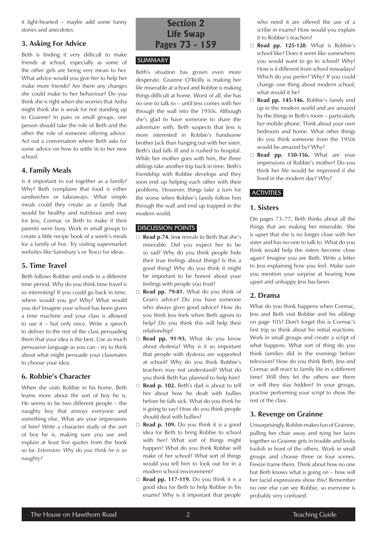it light-hearted – maybe add some funny stories and anecdotes.

### **3. Asking For Advice**

Beth is finding it very difficult to make friends at school, especially as some of the other girls are being very mean to her. What advice would you give her to help her make more friends? Are there any changes she could make to her behaviour? Do you think she is right when she worries that Aisha might think she is weak for not standing up to Grainne? In pairs or small groups, one person should take the role of Beth and the other the role of someone offering advice. Act out a conversation where Beth asks for some advice on how to settle in to her new school.

### **4. Family Meals**

Is it important to eat together as a family? Why? Beth complains that food is either sandwiches or takeaways. What simple meals could they create as a family that would be healthy and nutritious and easy for Jess, Cormac or Beth to make if their parents were busy. Work in small groups to create a little recipe book of a week's meals for a family of five. Try visiting supermarket websites like Sainsbury's or Tesco for ideas.

### **5. Time Travel**

Beth follows Robbie and ends in a different time period. Why do you think time travel is so interesting? If you could go back in time, where would you go? Why? What would you do? Imagine your school has been given a time machine and your class is allowed to use it – but only once. Write a speech to deliver to the rest of the class persuading them that your idea is the best. Use as much persuasive language as you can – try to think about what might persuade your classmates to choose your idea.

### **6. Robbie's Character**

When she visits Robbie in his home, Beth learns more about the sort of boy he is. He seems to be two different people – the naughty boy that annoys everyone and something else. What are your impressions of him? Write a character study of the sort of boy he is, making sure you use and explain at least five quotes from the book so far. *Extension: Why do you think he is so naughty?*

# **Section 2 Life Swap Pages 73 - 159**

## **SUMMARY**

Beth's situation has grown even more desperate. Grainne O'Reilly is making her life miserable at school and Robbie is making things difficult at home. Worst of all, she has no one to talk to – until Jess comes with her through the wall into the 1950s. Although she's glad to have someone to share the adventure with, Beth suspects that Jess is more interested in Robbie's handsome brother Jack than hanging out with her sister. Beth's dad falls ill and is rushed to hospital. While her mother goes with him, the three siblings take another trip back in time. Beth's friendship with Robbie develops and they soon end up helping each other with their problems. However, things take a turn for the worse when Robbie's family follow him through the wall and end up trapped in the modern world.

### DISCUSSION POINTS

- □ **Read p.74.** Jess reveals to Beth that she's miserable. Did you expect her to be so sad? Why do you think people hide their true feelings about things? Is this a good thing? Why do you think it might be important to be honest about your feelings with people you trust?
- **Read pp. 79-81.** What do you think of Gran's advice? Do you have someone who always gives good advice? How do you think Jess feels when Beth agrees to help? Do you think this will help their relationship?
- **Read pp. 91-93.** What do you know about dyslexia? Why is it so important that people with dyslexia are supported at school? Why do you think Robbie's teachers may not understand? What do you think Beth has planned to help him?
- □ **Read p. 102.** Beth's dad is about to tell her about how he dealt with bullies before he falls sick. What do you think he is going to say? How do you think people should deal with bullies?
- **Read p. 109.** Do you think it is a good idea for Beth to bring Robbie to school with her? What sort of things might happen? What do you think Robbie will make of her school? What sort of things would you tell him to look out for in a modern school environment?
- **Read pp. 117-119.** Do you think it is a good idea for Beth to help Robbie in his exams? Why is it important that people

who need it are offered the use of a scribe in exams? How would you explain it to Robbie's teachers?

- **Read pp. 125-128**. What is Robbie's school like? Does it seem like somewhere you would want to go to school? Why? How is it different from school nowadays? Which do you prefer? Why? If you could change one thing about modern school, what would it be?
- □ **Read pp. 145-146.** Robbie's family end up in the modern world and are amazed by the things in Beth's room – particularly her mobile phone. Think about your own bedroom and home. What other things do you think someone from the 1950s would be amazed by? Why?
- **Read pp. 150-156.** What are your impressions of Robbie's mother? Do you think her life would be improved if she lived in the modern day? Why?

### **ACTIVITIES**

#### **1. Sisters**

On pages 73–77, Beth thinks about all the things that are making her miserable. She is upset that she is no longer close with her sister and has no-one to talk to. What do you think would help the sisters become close again? Imagine you are Beth. Write a letter to Jess explaining how you feel. Make sure you mention your surprise at hearing how upset and unhappy Jess has been.

### **2. Drama**

What do you think happens when Cormac, Jess and Beth visit Robbie and his siblings on page 105? Don't forget this is Cormac's first trip so think about his initial reactions. Work in small groups and create a script of what happens. What sort of thing do you think families did in the evenings before television? How do you think Beth, Jess and Cormac will react to family life in a different time? Will they let the others see them or will they stay hidden? In your groups, practise performing your script to show the rest of the class.

### **3. Revenge on Grainne**

Unsurprisingly, Robbie makes fun of Grainne, pulling her chair away and tying her laces together so Grainne gets in trouble and looks foolish in front of the others. Work in small groups and choose three or four scenes. Freeze frame them. Think about how no one but Beth knows what is going on – how will her facial expressions show this? Remember no one else can see Robbie, so everyone is probably very confused.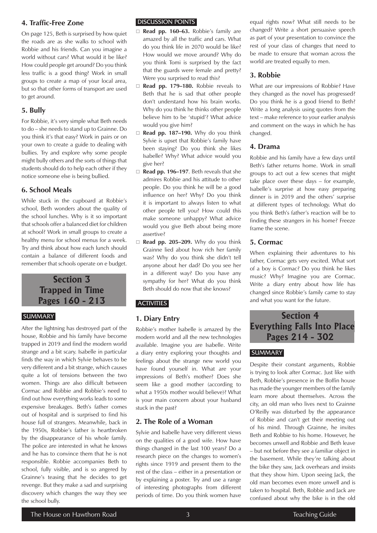# **4. Traffic-Free Zone**

On page 125, Beth is surprised by how quiet the roads are as she walks to school with Robbie and his friends. Can you imagine a world without cars? What would it be like? How could people get around? Do you think less traffic is a good thing? Work in small groups to create a map of your local area, but so that other forms of transport are used to get around.

# **5. Bully**

For Robbie, it's very simple what Beth needs to do – she needs to stand up to Grainne. Do you think it's that easy? Work in pairs or on your own to create a guide to dealing with bullies. Try and explore why some people might bully others and the sorts of things that students should do to help each other if they notice someone else is being bullied.

# **6. School Meals**

While stuck in the cupboard at Robbie's school, Beth wonders about the quality of the school lunches. Why is it so important that schools offer a balanced diet for children at school? Work in small groups to create a healthy menu for school menus for a week. Try and think about how each lunch should contain a balance of different foods and remember that schools operate on e budget.

# **Section 3 Trapped in Time Pages 160 - 213**

### **SUMMARY**

After the lightning has destroyed part of the house, Robbie and his family have become trapped in 2019 and find the modern world strange and a bit scary. Isabelle in particular finds the way in which Sylvie behaves to be very different and a bit strange, which causes quite a lot of tensions between the two women. Things are also difficult between Cormac and Robbie and Robbie's need to find out how everything works leads to some expensive breakages. Beth's father comes out of hospital and is surprised to find his house full of strangers. Meanwhile, back in the 1950s, Robbie's father is heartbroken by the disappearance of his whole family. The police are interested in what he knows and he has to convince them that he is not responsible. Robbie accompanies Beth to school, fully visible, and is so angered by Grainne's teasing that he decides to get revenge. But they make a sad and surprising discovery which changes the way they see the school bully.

### DISCUSSION POINTS

- □ Read pp. 160-63. Robbie's family are amazed by all the traffic and cars. What do you think life in 2070 would be like? How would we move around? Why do you think Tomi is surprised by the fact that the guards were female and pretty? Were you surprised to read this?
- □ **Read pp. 179-180.** Robbie reveals to Beth that he is sad that other people don't understand how his brain works. Why do you think he thinks other people believe him to be 'stupid'? What advice would you give him?
- □ **Read pp. 187-190.** Why do you think Sylvie is upset that Robbie's family have been staying? Do you think she likes Isabelle? Why? What advice would you give her?
- **Read pp. 196–197**. Beth reveals that she admires Robbie and his attitude to other people. Do you think he will be a good influence on her? Why? Do you think it is important to always listen to what other people tell you? How could this make someone unhappy? What advice would you give Beth about being more assertive?
- □ **Read pp. 205-209.** Why do you think Grainne lied about how rich her family was? Why do you think she didn't tell anyone about her dad? Do you see her in a different way? Do you have any sympathy for her? What do you think Beth should do now that she knows?

# **ACTIVITIES**

# **1. Diary Entry**

Robbie's mother Isabelle is amazed by the modern world and all the new technologies available. Imagine you are Isabelle. Write a diary entry exploring your thoughts and feelings about the strange new world you have found yourself in. What are your impressions of Beth's mother? Does she seem like a good mother (according to what a 1950s mother would believe)? What is your main concern about your husband stuck in the past?

# **2. The Role of a Woman**

Sylvie and Isabelle have very different views on the qualities of a good wife. How have things changed in the last 100 years? Do a research piece on the changes to women's rights since 1919 and present them to the rest of the class – either in a presentation or by explaining a poster. Try and use a range of interesting photographs from different periods of time. Do you think women have

equal rights now? What still needs to be changed? Write a short persuasive speech as part of your presentation to convince the rest of your class of changes that need to be made to ensure that woman across the world are treated equally to men.

# **3. Robbie**

What are our impressions of Robbie? Have they changed as the novel has progressed? Do you think he is a good friend to Beth? Write a long analysis using quotes from the text – make reference to your earlier analysis and comment on the ways in which he has changed.

## **4. Drama**

Robbie and his family have a few days until Beth's father returns home. Work in small groups to act out a few scenes that might take place over these days – for example, Isabelle's surprise at how easy preparing dinner is in 2019 and the others' surprise at different types of technology. What do you think Beth's father's reaction will be to finding these strangers in his home? Freeze frame the scene.

# **5. Cormac**

When explaining their adventures to his father, Cormac gets very excited. What sort of a boy is Cormac? Do you think he likes music? Why? Imagine you are Cormac. Write a diary entry about how life has changed since Robbie's family came to stay and what you want for the future.

# **Section 4 Everything Falls Into Place Pages 214 - 302**

# **SUMMARY**

Despite their constant arguments, Robbie is trying to look after Cormac. Just like with Beth, Robbie's presence in the Boffin house has made the younger members of the family learn more about themselves. Across the city, an old man who lives next to Grainne O'Reilly was disturbed by the appearance of Robbie and can't get their meeting out of his mind. Through Grainne, he invites Beth and Robbie to his home. However, he becomes unwell and Robbie and Beth leave – but not before they see a familiar object in the basement. While they're talking about the bike they saw, Jack overhears and insists that they show him. Upon seeing Jack, the old man becomes even more unwell and is taken to hospital. Beth, Robbie and Jack are confused about why the bike is in the old